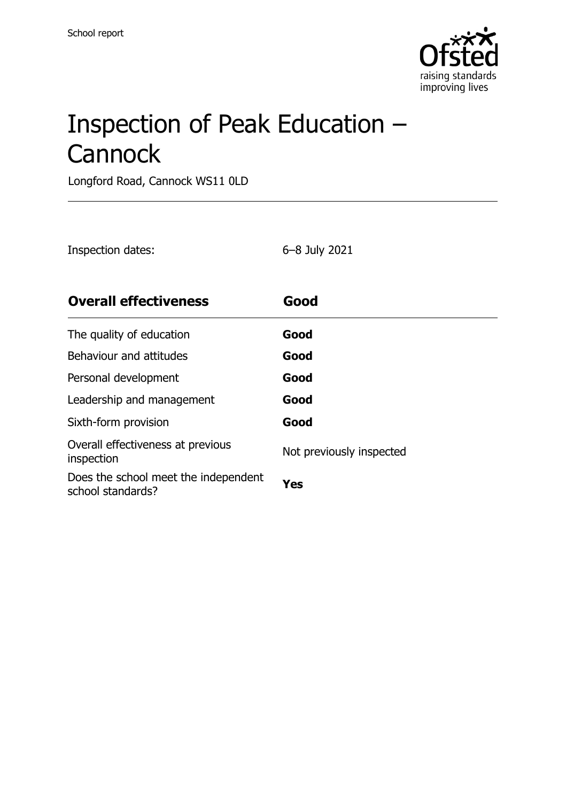

# Inspection of Peak Education – **Cannock**

Longford Road, Cannock WS11 0LD

| Inspection dates:                                         | 6-8 July 2021            |
|-----------------------------------------------------------|--------------------------|
| <b>Overall effectiveness</b>                              | Good                     |
| The quality of education                                  | Good                     |
| Behaviour and attitudes                                   | Good                     |
| Personal development                                      | Good                     |
| Leadership and management                                 | Good                     |
| Sixth-form provision                                      | Good                     |
| Overall effectiveness at previous<br>inspection           | Not previously inspected |
| Does the school meet the independent<br>school standards? | Yes                      |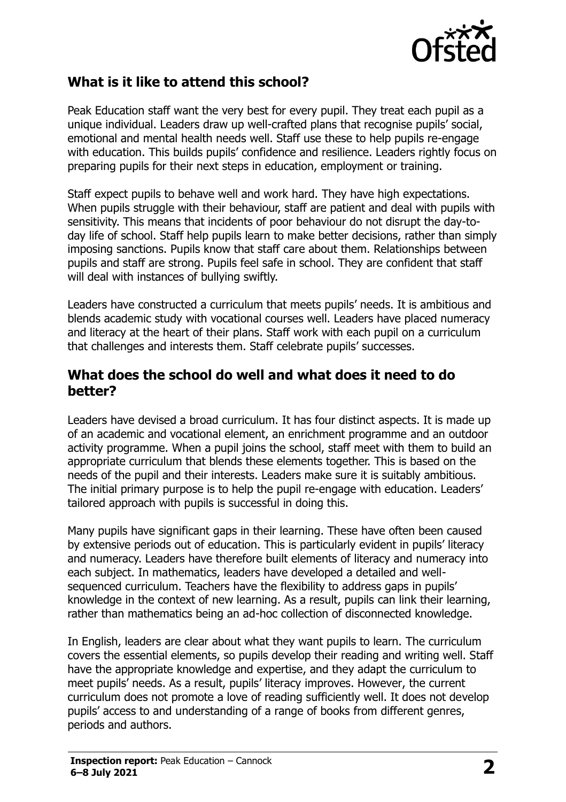

#### **What is it like to attend this school?**

Peak Education staff want the very best for every pupil. They treat each pupil as a unique individual. Leaders draw up well-crafted plans that recognise pupils' social, emotional and mental health needs well. Staff use these to help pupils re-engage with education. This builds pupils' confidence and resilience. Leaders rightly focus on preparing pupils for their next steps in education, employment or training.

Staff expect pupils to behave well and work hard. They have high expectations. When pupils struggle with their behaviour, staff are patient and deal with pupils with sensitivity. This means that incidents of poor behaviour do not disrupt the day-today life of school. Staff help pupils learn to make better decisions, rather than simply imposing sanctions. Pupils know that staff care about them. Relationships between pupils and staff are strong. Pupils feel safe in school. They are confident that staff will deal with instances of bullying swiftly.

Leaders have constructed a curriculum that meets pupils' needs. It is ambitious and blends academic study with vocational courses well. Leaders have placed numeracy and literacy at the heart of their plans. Staff work with each pupil on a curriculum that challenges and interests them. Staff celebrate pupils' successes.

#### **What does the school do well and what does it need to do better?**

Leaders have devised a broad curriculum. It has four distinct aspects. It is made up of an academic and vocational element, an enrichment programme and an outdoor activity programme. When a pupil joins the school, staff meet with them to build an appropriate curriculum that blends these elements together. This is based on the needs of the pupil and their interests. Leaders make sure it is suitably ambitious. The initial primary purpose is to help the pupil re-engage with education. Leaders' tailored approach with pupils is successful in doing this.

Many pupils have significant gaps in their learning. These have often been caused by extensive periods out of education. This is particularly evident in pupils' literacy and numeracy. Leaders have therefore built elements of literacy and numeracy into each subject. In mathematics, leaders have developed a detailed and wellsequenced curriculum. Teachers have the flexibility to address gaps in pupils' knowledge in the context of new learning. As a result, pupils can link their learning, rather than mathematics being an ad-hoc collection of disconnected knowledge.

In English, leaders are clear about what they want pupils to learn. The curriculum covers the essential elements, so pupils develop their reading and writing well. Staff have the appropriate knowledge and expertise, and they adapt the curriculum to meet pupils' needs. As a result, pupils' literacy improves. However, the current curriculum does not promote a love of reading sufficiently well. It does not develop pupils' access to and understanding of a range of books from different genres, periods and authors.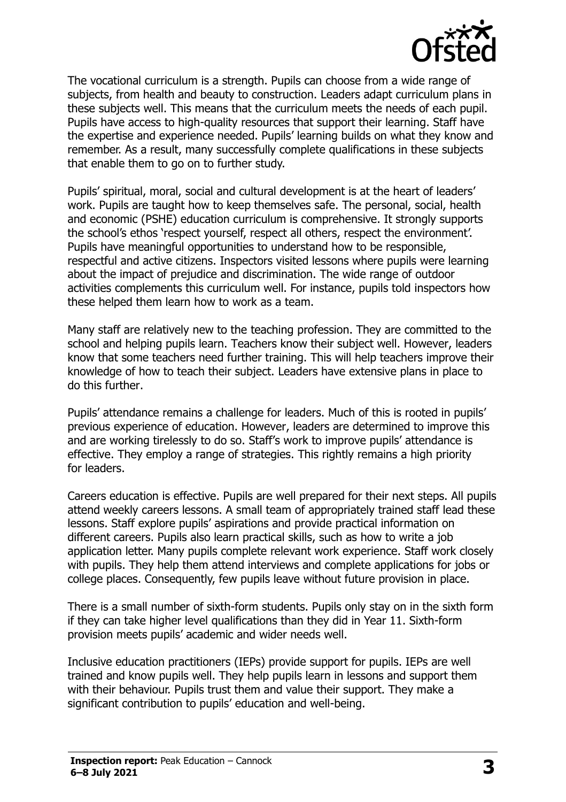

The vocational curriculum is a strength. Pupils can choose from a wide range of subjects, from health and beauty to construction. Leaders adapt curriculum plans in these subjects well. This means that the curriculum meets the needs of each pupil. Pupils have access to high-quality resources that support their learning. Staff have the expertise and experience needed. Pupils' learning builds on what they know and remember. As a result, many successfully complete qualifications in these subjects that enable them to go on to further study.

Pupils' spiritual, moral, social and cultural development is at the heart of leaders' work. Pupils are taught how to keep themselves safe. The personal, social, health and economic (PSHE) education curriculum is comprehensive. It strongly supports the school's ethos 'respect yourself, respect all others, respect the environment'. Pupils have meaningful opportunities to understand how to be responsible, respectful and active citizens. Inspectors visited lessons where pupils were learning about the impact of prejudice and discrimination. The wide range of outdoor activities complements this curriculum well. For instance, pupils told inspectors how these helped them learn how to work as a team.

Many staff are relatively new to the teaching profession. They are committed to the school and helping pupils learn. Teachers know their subject well. However, leaders know that some teachers need further training. This will help teachers improve their knowledge of how to teach their subject. Leaders have extensive plans in place to do this further.

Pupils' attendance remains a challenge for leaders. Much of this is rooted in pupils' previous experience of education. However, leaders are determined to improve this and are working tirelessly to do so. Staff's work to improve pupils' attendance is effective. They employ a range of strategies. This rightly remains a high priority for leaders.

Careers education is effective. Pupils are well prepared for their next steps. All pupils attend weekly careers lessons. A small team of appropriately trained staff lead these lessons. Staff explore pupils' aspirations and provide practical information on different careers. Pupils also learn practical skills, such as how to write a job application letter. Many pupils complete relevant work experience. Staff work closely with pupils. They help them attend interviews and complete applications for jobs or college places. Consequently, few pupils leave without future provision in place.

There is a small number of sixth-form students. Pupils only stay on in the sixth form if they can take higher level qualifications than they did in Year 11. Sixth-form provision meets pupils' academic and wider needs well.

Inclusive education practitioners (IEPs) provide support for pupils. IEPs are well trained and know pupils well. They help pupils learn in lessons and support them with their behaviour. Pupils trust them and value their support. They make a significant contribution to pupils' education and well-being.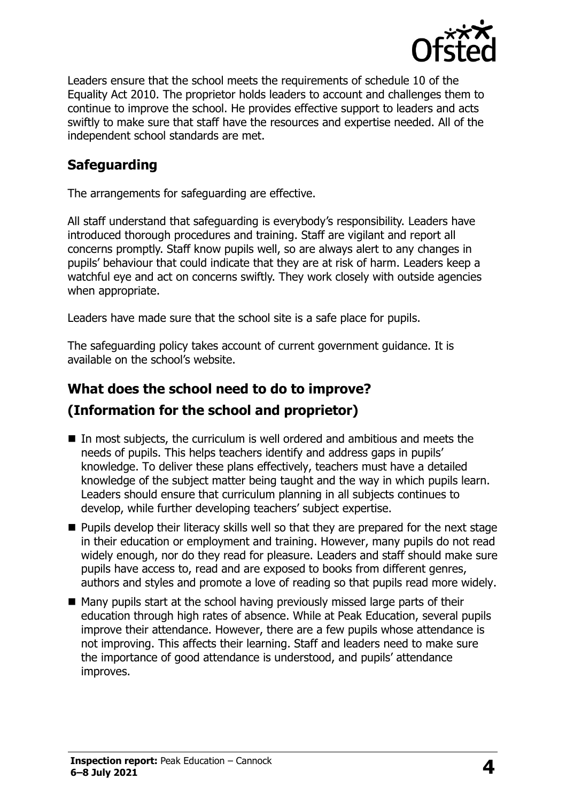

Leaders ensure that the school meets the requirements of schedule 10 of the Equality Act 2010. The proprietor holds leaders to account and challenges them to continue to improve the school. He provides effective support to leaders and acts swiftly to make sure that staff have the resources and expertise needed. All of the independent school standards are met.

### **Safeguarding**

The arrangements for safeguarding are effective.

All staff understand that safeguarding is everybody's responsibility. Leaders have introduced thorough procedures and training. Staff are vigilant and report all concerns promptly. Staff know pupils well, so are always alert to any changes in pupils' behaviour that could indicate that they are at risk of harm. Leaders keep a watchful eye and act on concerns swiftly. They work closely with outside agencies when appropriate.

Leaders have made sure that the school site is a safe place for pupils.

The safeguarding policy takes account of current government guidance. It is available on the school's website.

## **What does the school need to do to improve? (Information for the school and proprietor)**

- In most subjects, the curriculum is well ordered and ambitious and meets the needs of pupils. This helps teachers identify and address gaps in pupils' knowledge. To deliver these plans effectively, teachers must have a detailed knowledge of the subject matter being taught and the way in which pupils learn. Leaders should ensure that curriculum planning in all subjects continues to develop, while further developing teachers' subject expertise.
- **Pupils develop their literacy skills well so that they are prepared for the next stage** in their education or employment and training. However, many pupils do not read widely enough, nor do they read for pleasure. Leaders and staff should make sure pupils have access to, read and are exposed to books from different genres, authors and styles and promote a love of reading so that pupils read more widely.
- Many pupils start at the school having previously missed large parts of their education through high rates of absence. While at Peak Education, several pupils improve their attendance. However, there are a few pupils whose attendance is not improving. This affects their learning. Staff and leaders need to make sure the importance of good attendance is understood, and pupils' attendance improves.

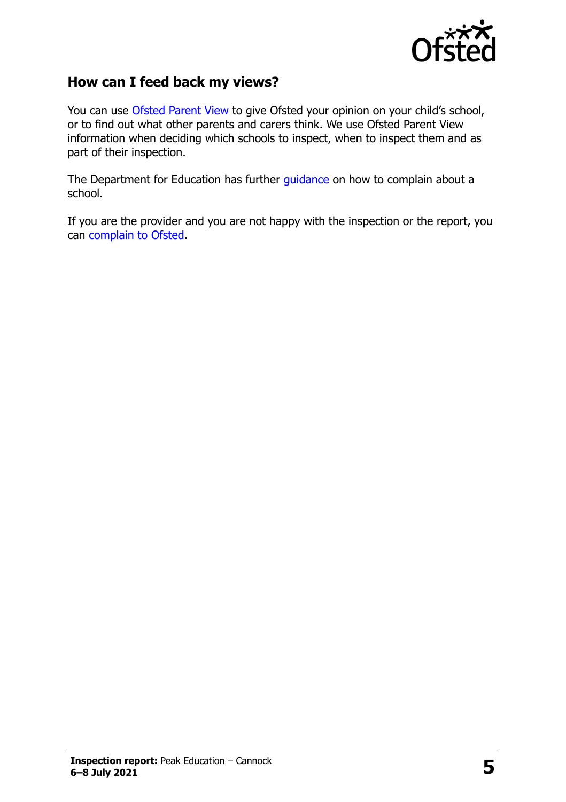

#### **How can I feed back my views?**

You can use [Ofsted Parent View](http://parentview.ofsted.gov.uk/) to give Ofsted your opinion on your child's school, or to find out what other parents and carers think. We use Ofsted Parent View information when deciding which schools to inspect, when to inspect them and as part of their inspection.

The Department for Education has further [guidance](http://www.gov.uk/complain-about-school) on how to complain about a school.

If you are the provider and you are not happy with the inspection or the report, you can [complain to Ofsted.](http://www.gov.uk/complain-ofsted-report)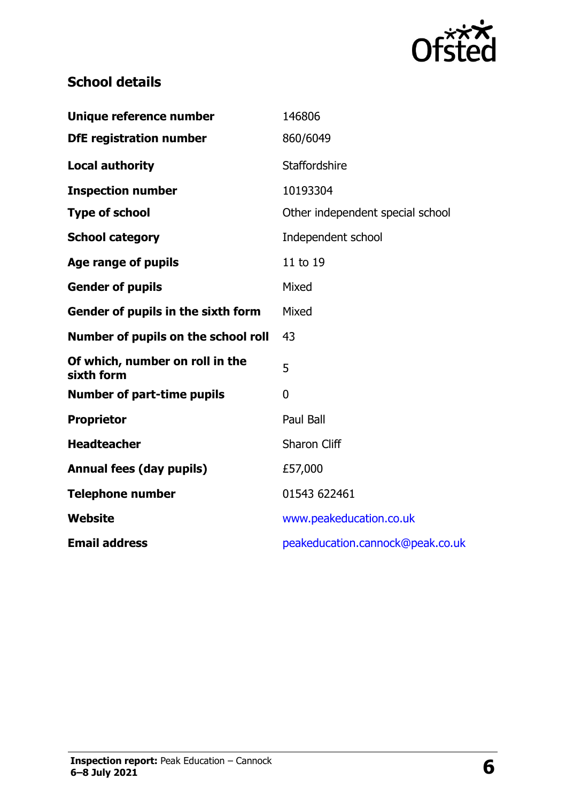

## **School details**

| Unique reference number                       | 146806                           |
|-----------------------------------------------|----------------------------------|
| <b>DfE registration number</b>                | 860/6049                         |
| <b>Local authority</b>                        | Staffordshire                    |
| <b>Inspection number</b>                      | 10193304                         |
| <b>Type of school</b>                         | Other independent special school |
| <b>School category</b>                        | Independent school               |
| Age range of pupils                           | 11 to 19                         |
| <b>Gender of pupils</b>                       | Mixed                            |
| Gender of pupils in the sixth form            | Mixed                            |
| Number of pupils on the school roll           | 43                               |
| Of which, number on roll in the<br>sixth form | 5                                |
| <b>Number of part-time pupils</b>             | $\mathbf 0$                      |
| <b>Proprietor</b>                             | Paul Ball                        |
| <b>Headteacher</b>                            | <b>Sharon Cliff</b>              |
| <b>Annual fees (day pupils)</b>               | £57,000                          |
| <b>Telephone number</b>                       | 01543 622461                     |
| Website                                       | www.peakeducation.co.uk          |
| <b>Email address</b>                          | peakeducation.cannock@peak.co.uk |
|                                               |                                  |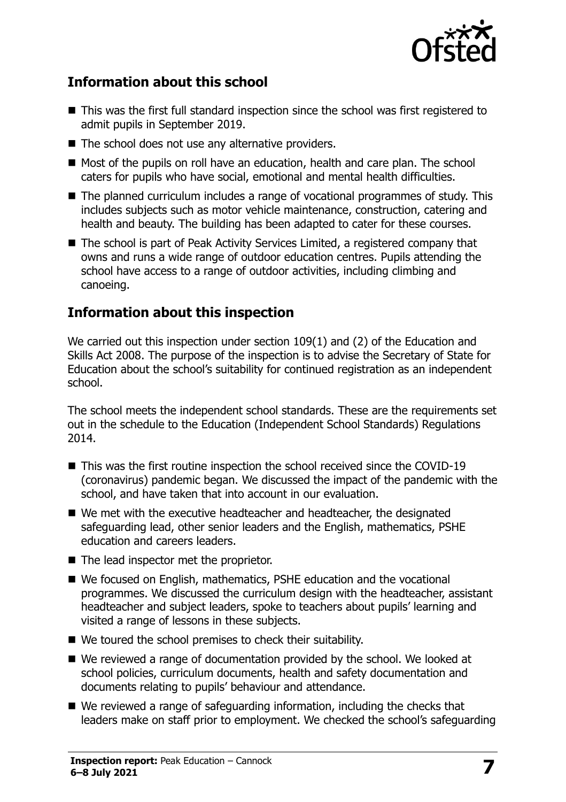

#### **Information about this school**

- This was the first full standard inspection since the school was first registered to admit pupils in September 2019.
- The school does not use any alternative providers.
- Most of the pupils on roll have an education, health and care plan. The school caters for pupils who have social, emotional and mental health difficulties.
- The planned curriculum includes a range of vocational programmes of study. This includes subjects such as motor vehicle maintenance, construction, catering and health and beauty. The building has been adapted to cater for these courses.
- The school is part of Peak Activity Services Limited, a registered company that owns and runs a wide range of outdoor education centres. Pupils attending the school have access to a range of outdoor activities, including climbing and canoeing.

#### **Information about this inspection**

We carried out this inspection under section 109(1) and (2) of the Education and Skills Act 2008. The purpose of the inspection is to advise the Secretary of State for Education about the school's suitability for continued registration as an independent school.

The school meets the independent school standards. These are the requirements set out in the schedule to the Education (Independent School Standards) Regulations 2014.

- This was the first routine inspection the school received since the COVID-19 (coronavirus) pandemic began. We discussed the impact of the pandemic with the school, and have taken that into account in our evaluation.
- We met with the executive headteacher and headteacher, the designated safeguarding lead, other senior leaders and the English, mathematics, PSHE education and careers leaders.
- The lead inspector met the proprietor.
- We focused on English, mathematics, PSHE education and the vocational programmes. We discussed the curriculum design with the headteacher, assistant headteacher and subject leaders, spoke to teachers about pupils' learning and visited a range of lessons in these subjects.
- We toured the school premises to check their suitability.
- We reviewed a range of documentation provided by the school. We looked at school policies, curriculum documents, health and safety documentation and documents relating to pupils' behaviour and attendance.
- We reviewed a range of safeguarding information, including the checks that leaders make on staff prior to employment. We checked the school's safeguarding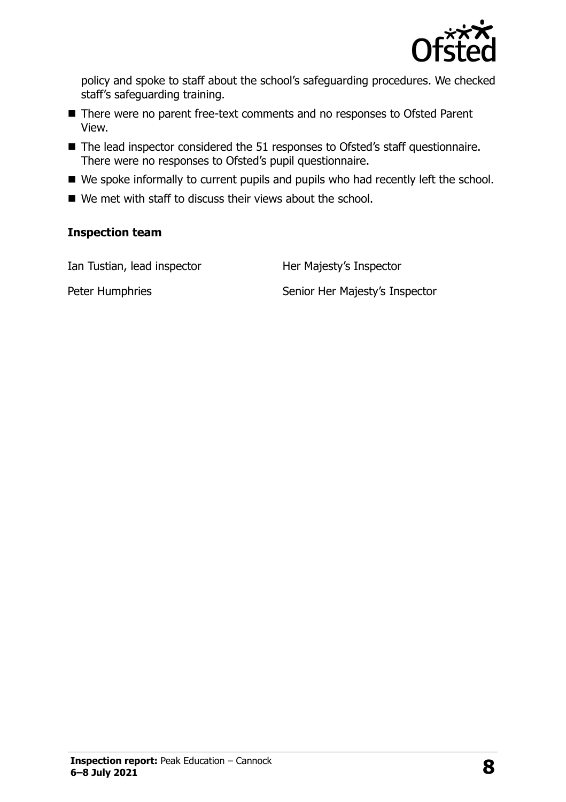

policy and spoke to staff about the school's safeguarding procedures. We checked staff's safeguarding training.

- There were no parent free-text comments and no responses to Ofsted Parent View.
- The lead inspector considered the 51 responses to Ofsted's staff questionnaire. There were no responses to Ofsted's pupil questionnaire.
- We spoke informally to current pupils and pupils who had recently left the school.
- We met with staff to discuss their views about the school.

#### **Inspection team**

Ian Tustian, lead inspector **Her Majesty's Inspector** 

Peter Humphries Senior Her Majesty's Inspector